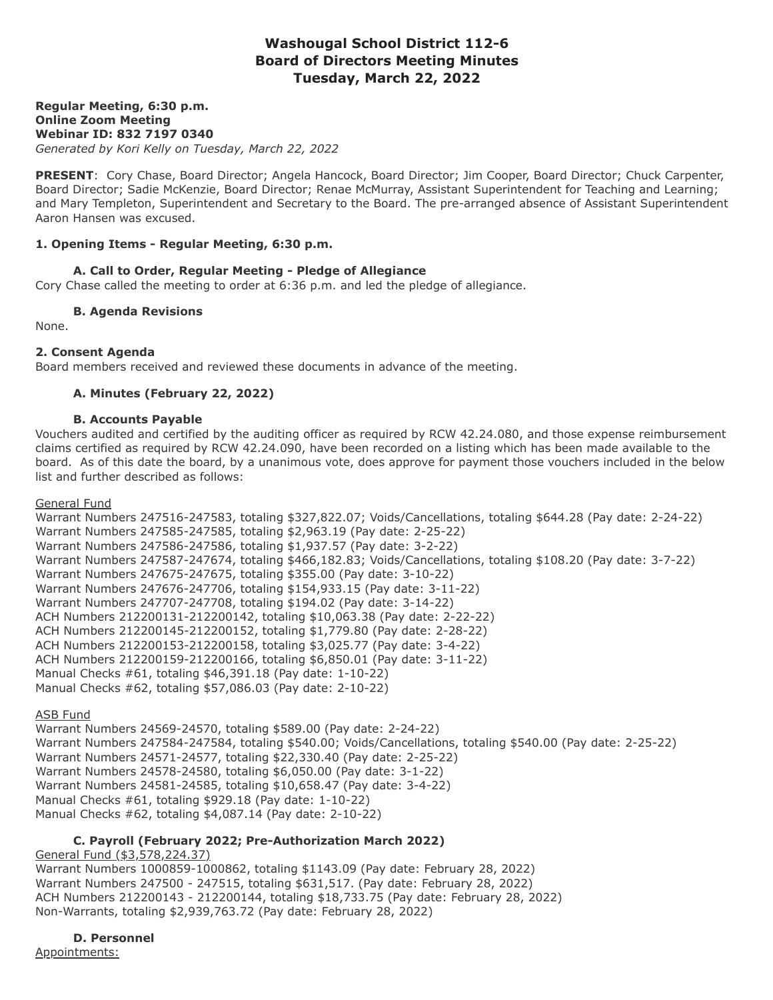# **Washougal School District 112-6 Board of Directors Meeting Minutes Tuesday, March 22, 2022**

**Regular Meeting, 6:30 p.m. Online Zoom Meeting Webinar ID: 832 7197 0340** *Generated by Kori Kelly on Tuesday, March 22, 2022*

**PRESENT**: Cory Chase, Board Director; Angela Hancock, Board Director; Jim Cooper, Board Director; Chuck Carpenter, Board Director; Sadie McKenzie, Board Director; Renae McMurray, Assistant Superintendent for Teaching and Learning; and Mary Templeton, Superintendent and Secretary to the Board. The pre-arranged absence of Assistant Superintendent Aaron Hansen was excused.

### **1. Opening Items - Regular Meeting, 6:30 p.m.**

# **A. Call to Order, Regular Meeting - Pledge of Allegiance**

Cory Chase called the meeting to order at 6:36 p.m. and led the pledge of allegiance.

**B. Agenda Revisions**

None.

#### **2. Consent Agenda**

Board members received and reviewed these documents in advance of the meeting.

### **A. Minutes (February 22, 2022)**

#### **B. Accounts Payable**

Vouchers audited and certified by the auditing officer as required by RCW 42.24.080, and those expense reimbursement claims certified as required by RCW 42.24.090, have been recorded on a listing which has been made available to the board. As of this date the board, by a unanimous vote, does approve for payment those vouchers included in the below list and further described as follows:

#### General Fund

Warrant Numbers 247516-247583, totaling \$327,822.07; Voids/Cancellations, totaling \$644.28 (Pay date: 2-24-22) Warrant Numbers 247585-247585, totaling \$2,963.19 (Pay date: 2-25-22) Warrant Numbers 247586-247586, totaling \$1,937.57 (Pay date: 3-2-22) Warrant Numbers 247587-247674, totaling \$466,182.83; Voids/Cancellations, totaling \$108.20 (Pay date: 3-7-22) Warrant Numbers 247675-247675, totaling \$355.00 (Pay date: 3-10-22) Warrant Numbers 247676-247706, totaling \$154,933.15 (Pay date: 3-11-22) Warrant Numbers 247707-247708, totaling \$194.02 (Pay date: 3-14-22) ACH Numbers 212200131-212200142, totaling \$10,063.38 (Pay date: 2-22-22) ACH Numbers 212200145-212200152, totaling \$1,779.80 (Pay date: 2-28-22) ACH Numbers 212200153-212200158, totaling \$3,025.77 (Pay date: 3-4-22) ACH Numbers 212200159-212200166, totaling \$6,850.01 (Pay date: 3-11-22) Manual Checks #61, totaling \$46,391.18 (Pay date: 1-10-22) Manual Checks #62, totaling \$57,086.03 (Pay date: 2-10-22)

#### **ASB Fund**

Warrant Numbers 24569-24570, totaling \$589.00 (Pay date: 2-24-22) Warrant Numbers 247584-247584, totaling \$540.00; Voids/Cancellations, totaling \$540.00 (Pay date: 2-25-22) Warrant Numbers 24571-24577, totaling \$22,330.40 (Pay date: 2-25-22) Warrant Numbers 24578-24580, totaling \$6,050.00 (Pay date: 3-1-22) Warrant Numbers 24581-24585, totaling \$10,658.47 (Pay date: 3-4-22) Manual Checks #61, totaling \$929.18 (Pay date: 1-10-22) Manual Checks #62, totaling \$4,087.14 (Pay date: 2-10-22)

# **C. Payroll (February 2022; Pre-Authorization March 2022)**

General Fund (\$3,578,224.37) Warrant Numbers 1000859-1000862, totaling \$1143.09 (Pay date: February 28, 2022) Warrant Numbers 247500 - 247515, totaling \$631,517. (Pay date: February 28, 2022) ACH Numbers 212200143 - 212200144, totaling \$18,733.75 (Pay date: February 28, 2022) Non-Warrants, totaling \$2,939,763.72 (Pay date: February 28, 2022)

**D. Personnel** Appointments: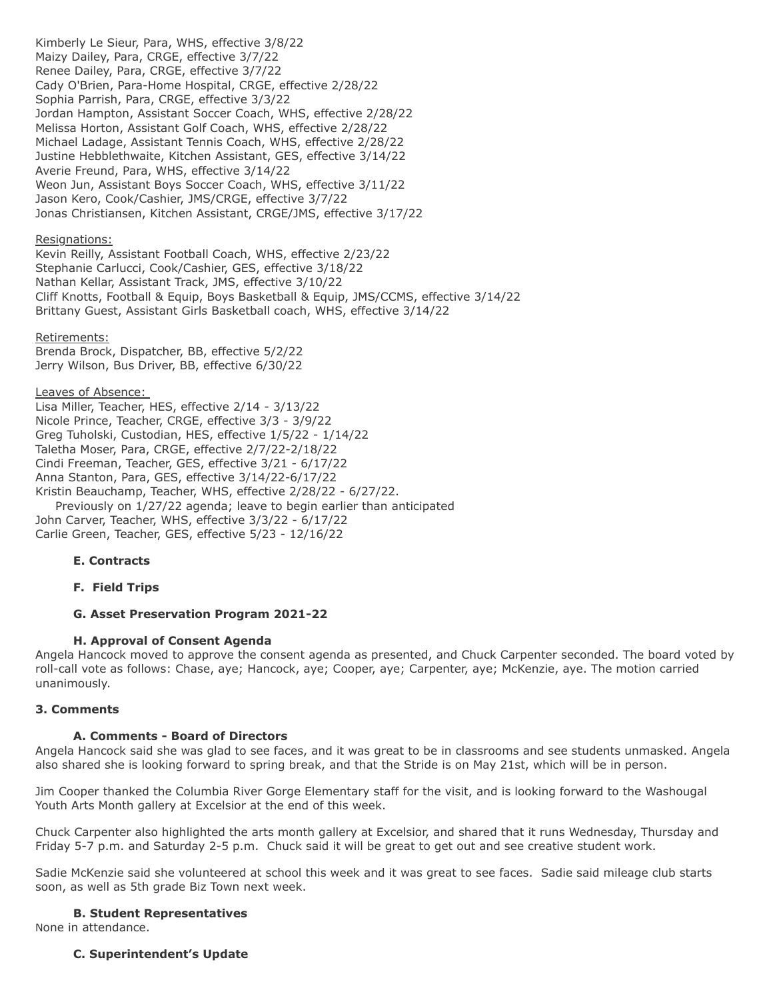Kimberly Le Sieur, Para, WHS, effective 3/8/22 Maizy Dailey, Para, CRGE, effective 3/7/22 Renee Dailey, Para, CRGE, effective 3/7/22 Cady O'Brien, Para-Home Hospital, CRGE, effective 2/28/22 Sophia Parrish, Para, CRGE, effective 3/3/22 Jordan Hampton, Assistant Soccer Coach, WHS, effective 2/28/22 Melissa Horton, Assistant Golf Coach, WHS, effective 2/28/22 Michael Ladage, Assistant Tennis Coach, WHS, effective 2/28/22 Justine Hebblethwaite, Kitchen Assistant, GES, effective 3/14/22 Averie Freund, Para, WHS, effective 3/14/22 Weon Jun, Assistant Boys Soccer Coach, WHS, effective 3/11/22 Jason Kero, Cook/Cashier, JMS/CRGE, effective 3/7/22 Jonas Christiansen, Kitchen Assistant, CRGE/JMS, effective 3/17/22

### Resignations:

Kevin Reilly, Assistant Football Coach, WHS, effective 2/23/22 Stephanie Carlucci, Cook/Cashier, GES, effective 3/18/22 Nathan Kellar, Assistant Track, JMS, effective 3/10/22 Cliff Knotts, Football & Equip, Boys Basketball & Equip, JMS/CCMS, effective 3/14/22 Brittany Guest, Assistant Girls Basketball coach, WHS, effective 3/14/22

#### Retirements:

Brenda Brock, Dispatcher, BB, effective 5/2/22 Jerry Wilson, Bus Driver, BB, effective 6/30/22

#### Leaves of Absence:

Lisa Miller, Teacher, HES, effective 2/14 - 3/13/22 Nicole Prince, Teacher, CRGE, effective 3/3 - 3/9/22 Greg Tuholski, Custodian, HES, effective 1/5/22 - 1/14/22 Taletha Moser, Para, CRGE, effective 2/7/22-2/18/22 Cindi Freeman, Teacher, GES, effective 3/21 - 6/17/22 Anna Stanton, Para, GES, effective 3/14/22-6/17/22 Kristin Beauchamp, Teacher, WHS, effective 2/28/22 - 6/27/22. Previously on 1/27/22 agenda; leave to begin earlier than anticipated John Carver, Teacher, WHS, effective 3/3/22 - 6/17/22

Carlie Green, Teacher, GES, effective 5/23 - 12/16/22

### **E. Contracts**

**F. Field Trips**

### **G. Asset Preservation Program 2021-22**

### **H. Approval of Consent Agenda**

Angela Hancock moved to approve the consent agenda as presented, and Chuck Carpenter seconded. The board voted by roll-call vote as follows: Chase, aye; Hancock, aye; Cooper, aye; Carpenter, aye; McKenzie, aye. The motion carried unanimously.

#### **3. Comments**

### **A. Comments - Board of Directors**

Angela Hancock said she was glad to see faces, and it was great to be in classrooms and see students unmasked. Angela also shared she is looking forward to spring break, and that the Stride is on May 21st, which will be in person.

Jim Cooper thanked the Columbia River Gorge Elementary staff for the visit, and is looking forward to the Washougal Youth Arts Month gallery at Excelsior at the end of this week.

Chuck Carpenter also highlighted the arts month gallery at Excelsior, and shared that it runs Wednesday, Thursday and Friday 5-7 p.m. and Saturday 2-5 p.m. Chuck said it will be great to get out and see creative student work.

Sadie McKenzie said she volunteered at school this week and it was great to see faces. Sadie said mileage club starts soon, as well as 5th grade Biz Town next week.

#### **B. Student Representatives**

None in attendance.

### **C. Superintendent's Update**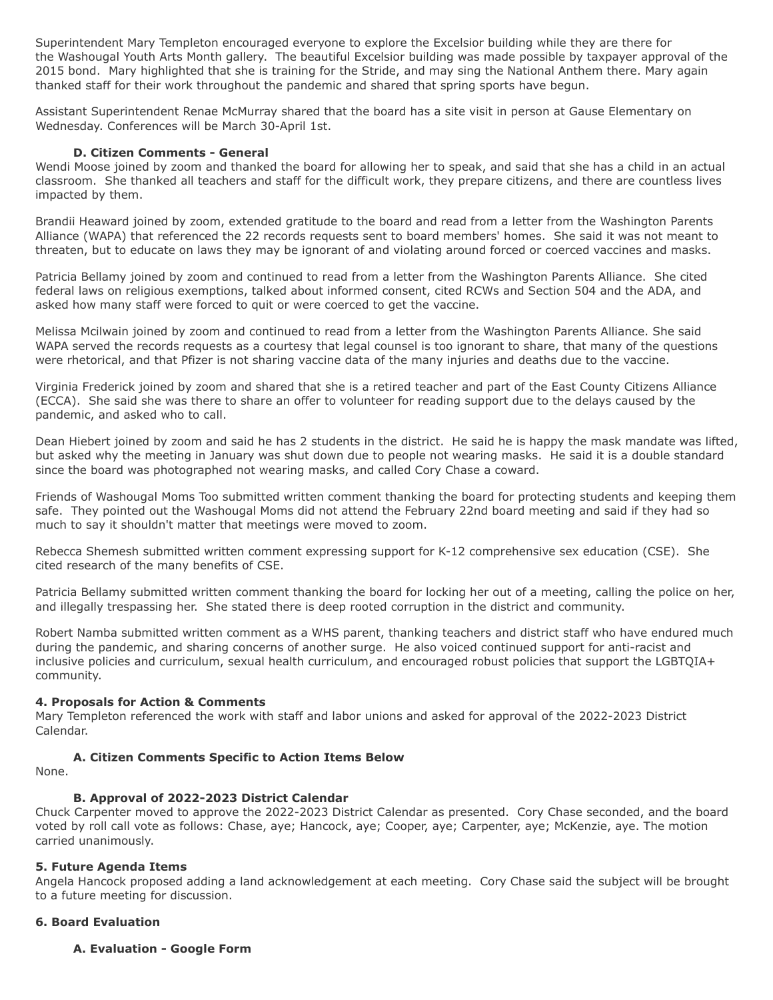Superintendent Mary Templeton encouraged everyone to explore the Excelsior building while they are there for the Washougal Youth Arts Month gallery. The beautiful Excelsior building was made possible by taxpayer approval of the 2015 bond. Mary highlighted that she is training for the Stride, and may sing the National Anthem there. Mary again thanked staff for their work throughout the pandemic and shared that spring sports have begun.

Assistant Superintendent Renae McMurray shared that the board has a site visit in person at Gause Elementary on Wednesday. Conferences will be March 30-April 1st.

### **D. Citizen Comments - General**

Wendi Moose joined by zoom and thanked the board for allowing her to speak, and said that she has a child in an actual classroom. She thanked all teachers and staff for the difficult work, they prepare citizens, and there are countless lives impacted by them.

Brandii Heaward joined by zoom, extended gratitude to the board and read from a letter from the Washington Parents Alliance (WAPA) that referenced the 22 records requests sent to board members' homes. She said it was not meant to threaten, but to educate on laws they may be ignorant of and violating around forced or coerced vaccines and masks.

Patricia Bellamy joined by zoom and continued to read from a letter from the Washington Parents Alliance. She cited federal laws on religious exemptions, talked about informed consent, cited RCWs and Section 504 and the ADA, and asked how many staff were forced to quit or were coerced to get the vaccine.

Melissa Mcilwain joined by zoom and continued to read from a letter from the Washington Parents Alliance. She said WAPA served the records requests as a courtesy that legal counsel is too ignorant to share, that many of the questions were rhetorical, and that Pfizer is not sharing vaccine data of the many injuries and deaths due to the vaccine.

Virginia Frederick joined by zoom and shared that she is a retired teacher and part of the East County Citizens Alliance (ECCA). She said she was there to share an offer to volunteer for reading support due to the delays caused by the pandemic, and asked who to call.

Dean Hiebert joined by zoom and said he has 2 students in the district. He said he is happy the mask mandate was lifted, but asked why the meeting in January was shut down due to people not wearing masks. He said it is a double standard since the board was photographed not wearing masks, and called Cory Chase a coward.

Friends of Washougal Moms Too submitted written comment thanking the board for protecting students and keeping them safe. They pointed out the Washougal Moms did not attend the February 22nd board meeting and said if they had so much to say it shouldn't matter that meetings were moved to zoom.

Rebecca Shemesh submitted written comment expressing support for K-12 comprehensive sex education (CSE). She cited research of the many benefits of CSE.

Patricia Bellamy submitted written comment thanking the board for locking her out of a meeting, calling the police on her, and illegally trespassing her. She stated there is deep rooted corruption in the district and community.

Robert Namba submitted written comment as a WHS parent, thanking teachers and district staff who have endured much during the pandemic, and sharing concerns of another surge. He also voiced continued support for anti-racist and inclusive policies and curriculum, sexual health curriculum, and encouraged robust policies that support the LGBTQIA+ community.

### **4. Proposals for Action & Comments**

Mary Templeton referenced the work with staff and labor unions and asked for approval of the 2022-2023 District Calendar.

### **A. Citizen Comments Specific to Action Items Below**

None.

### **B. Approval of 2022-2023 District Calendar**

Chuck Carpenter moved to approve the 2022-2023 District Calendar as presented. Cory Chase seconded, and the board voted by roll call vote as follows: Chase, aye; Hancock, aye; Cooper, aye; Carpenter, aye; McKenzie, aye. The motion carried unanimously.

### **5. Future Agenda Items**

Angela Hancock proposed adding a land acknowledgement at each meeting. Cory Chase said the subject will be brought to a future meeting for discussion.

#### **6. Board Evaluation**

### **A. Evaluation - Google Form**